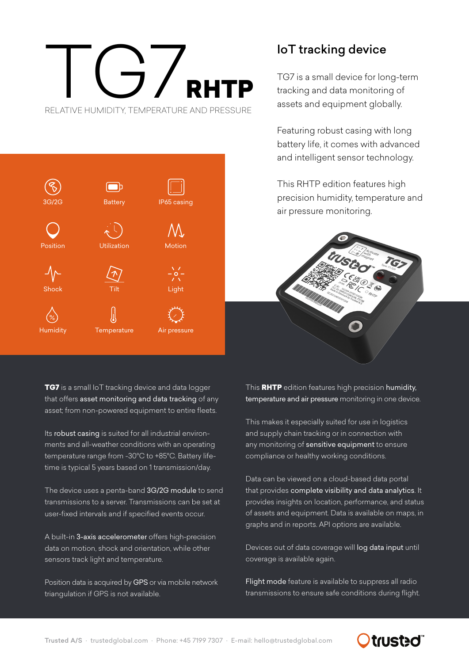## TIC 7 RHTP RELATIVE HUMIDITY, TEMPERATURE AND PRESSURE



## IoT tracking device

TG7 is a small device for long-term tracking and data monitoring of assets and equipment globally.

Featuring robust casing with long battery life, it comes with advanced and intelligent sensor technology.

This RHTP edition features high precision humidity, temperature and air pressure monitoring.



**TG7** is a small IoT tracking device and data logger that offers asset monitoring and data tracking of any asset; from non-powered equipment to entire fleets.

Its robust casing is suited for all industrial environments and all-weather conditions with an operating temperature range from -30°C to +85°C. Battery lifetime is typical 5 years based on 1 transmission/day.

The device uses a penta-band 3G/2G module to send transmissions to a server. Transmissions can be set at user-fixed intervals and if specified events occur.

A built-in 3-axis accelerometer offers high-precision data on motion, shock and orientation, while other sensors track light and temperature.

Position data is acquired by GPS or via mobile network triangulation if GPS is not available.

This RHTP edition features high precision humidity, temperature and air pressure monitoring in one device.

This makes it especially suited for use in logistics and supply chain tracking or in connection with any monitoring of sensitive equipment to ensure compliance or healthy working conditions.

Data can be viewed on a cloud-based data portal that provides complete visibility and data analytics. It provides insights on location, performance, and status of assets and equipment. Data is available on maps, in graphs and in reports. API options are available.

Devices out of data coverage will log data input until coverage is available again.

Flight mode feature is available to suppress all radio transmissions to ensure safe conditions during flight.